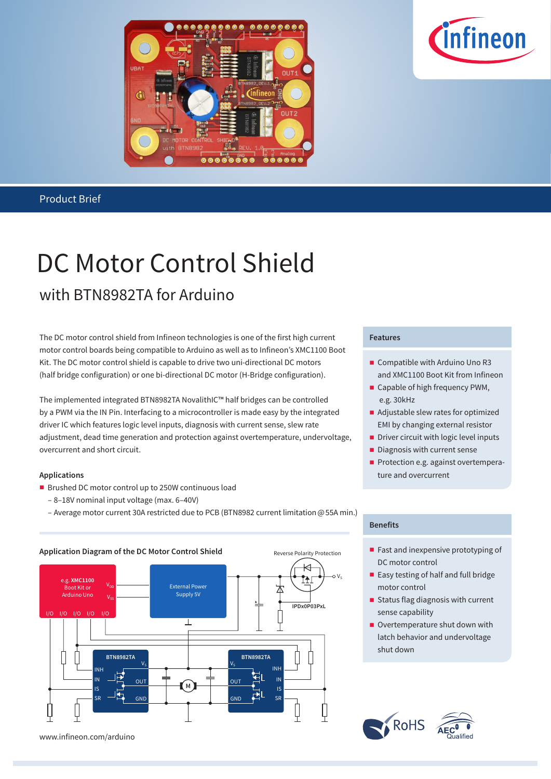



### Product Brief

# DC Motor Control Shield with BTN8982TA for Arduino

The DC motor control shield from Infineon technologies is one of the first high current motor control boards being compatible to Arduino as well as to Infineon's XMC1100 Boot Kit. The DC motor control shield is capable to drive two uni-directional DC motors (half bridge configuration) or one bi-directional DC motor (H-Bridge configuration).

The implemented integrated BTN8982TA NovalithIC™ half bridges can be controlled by a PWM via the IN Pin. Interfacing to a microcontroller is made easy by the integrated driver IC which features logic level inputs, diagnosis with current sense, slew rate adjustment, dead time generation and protection against overtemperature, undervoltage, overcurrent and short circuit.

### **Applications**

- **Brushed DC motor control up to 250W continuous load** 
	- 8–18V nominal input voltage (max. 6–40V)
	- Average motor current 30A restricted due to PCB (BTN8982 current limitation @ 55A min.)



## **Features**

- Compatible with Arduino Uno R3 and XMC1100 Boot Kit from Infineon
- Capable of high frequency PWM, e.g. 30kHz
- Adjustable slew rates for optimized EMI by changing external resistor
- Driver circuit with logic level inputs
- Diagnosis with current sense
- Protection e.g. against overtemperature and overcurrent

### **Benefits**

- Fast and inexpensive prototyping of DC motor control
- Easy testing of half and full bridge motor control
- Status flag diagnosis with current sense capability
- Overtemperature shut down with latch behavior and undervoltage shut down





www.infineon.com/arduino